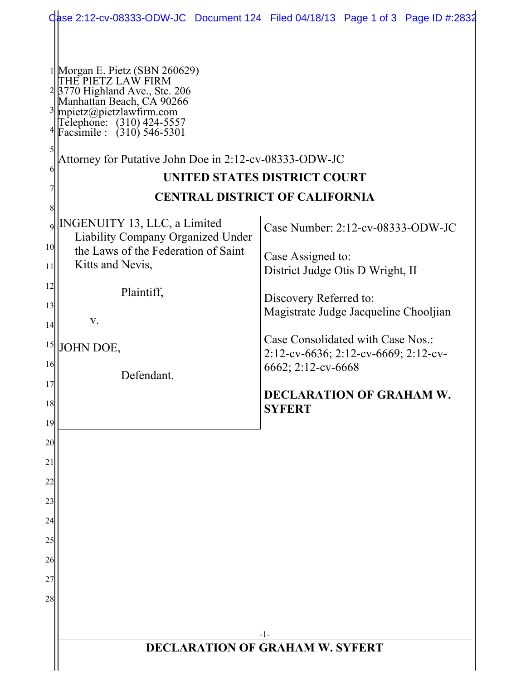|                 |                                                                                                                                                                                                                                                                                           | Qase 2:12-cv-08333-ODW-JC Document 124 Filed 04/18/13 Page 1 of 3 Page ID #:2832 |
|-----------------|-------------------------------------------------------------------------------------------------------------------------------------------------------------------------------------------------------------------------------------------------------------------------------------------|----------------------------------------------------------------------------------|
|                 | <sup>1</sup> Morgan E. Pietz (SBN 260629)<br>THE PIETZ LAW FIRM<br><sup>2</sup> 3770 Highland Ave., Ste. 206<br>Manhattan Beach, CA 90266<br>mpietz@pietzlawfirm.com<br>Telephone: (310) 424-5557<br>Facsimile : (310) 546-5301<br>Attorney for Putative John Doe in 2:12-cv-08333-ODW-JC | UNITED STATES DISTRICT COURT<br><b>CENTRAL DISTRICT OF CALIFORNIA</b>            |
| $\overline{9}$  | <b>INGENUITY 13, LLC, a Limited</b>                                                                                                                                                                                                                                                       | Case Number: 2:12-cv-08333-ODW-JC                                                |
| 10 <sup>1</sup> | Liability Company Organized Under                                                                                                                                                                                                                                                         |                                                                                  |
| 11              | the Laws of the Federation of Saint<br>Kitts and Nevis,                                                                                                                                                                                                                                   | Case Assigned to:<br>District Judge Otis D Wright, II                            |
| 12              | Plaintiff,                                                                                                                                                                                                                                                                                |                                                                                  |
| 13              |                                                                                                                                                                                                                                                                                           | Discovery Referred to:<br>Magistrate Judge Jacqueline Chooljian                  |
| 14              | V.                                                                                                                                                                                                                                                                                        |                                                                                  |
| 15              | JOHN DOE,                                                                                                                                                                                                                                                                                 | Case Consolidated with Case Nos.:<br>2:12-cv-6636; 2:12-cv-6669; 2:12-cv-        |
| 16              | Defendant.                                                                                                                                                                                                                                                                                | 6662; 2:12-cv-6668                                                               |
| 17<br>18        |                                                                                                                                                                                                                                                                                           | <b>DECLARATION OF GRAHAM W.</b>                                                  |
| 19              |                                                                                                                                                                                                                                                                                           | <b>SYFERT</b>                                                                    |
| 20              |                                                                                                                                                                                                                                                                                           |                                                                                  |
| 21              |                                                                                                                                                                                                                                                                                           |                                                                                  |
| 22              |                                                                                                                                                                                                                                                                                           |                                                                                  |
| 23              |                                                                                                                                                                                                                                                                                           |                                                                                  |
| 24              |                                                                                                                                                                                                                                                                                           |                                                                                  |
| 25<br>26        |                                                                                                                                                                                                                                                                                           |                                                                                  |
| 27              |                                                                                                                                                                                                                                                                                           |                                                                                  |
| 28              |                                                                                                                                                                                                                                                                                           |                                                                                  |
|                 |                                                                                                                                                                                                                                                                                           |                                                                                  |
|                 | $-1-$<br><b>DECLARATION OF GRAHAM W. SYFERT</b>                                                                                                                                                                                                                                           |                                                                                  |
|                 |                                                                                                                                                                                                                                                                                           |                                                                                  |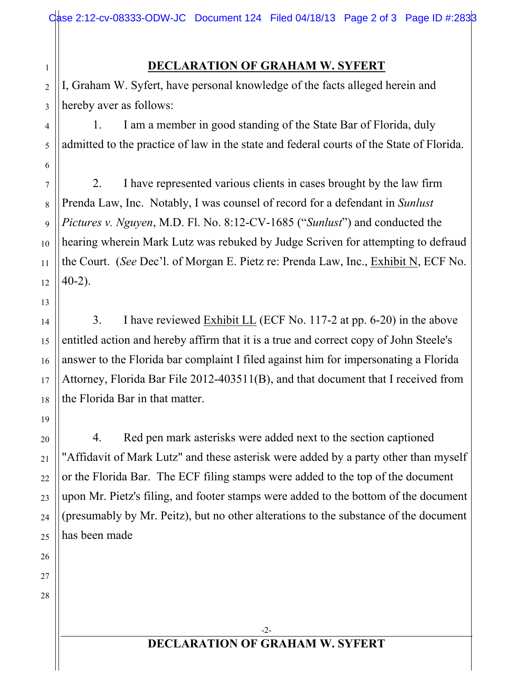## **DECLARATION OF GRAHAM W. SYFERT**

2 3 I, Graham W. Syfert, have personal knowledge of the facts alleged herein and hereby aver as follows:

1. I am a member in good standing of the State Bar of Florida, duly admitted to the practice of law in the state and federal courts of the State of Florida.

2. I have represented various clients in cases brought by the law firm Prenda Law, Inc. Notably, I was counsel of record for a defendant in *Sunlust Pictures v. Nguyen*, M.D. Fl. No. 8:12-CV-1685 ("*Sunlust*") and conducted the hearing wherein Mark Lutz was rebuked by Judge Scriven for attempting to defraud the Court. (*See* Dec'l. of Morgan E. Pietz re: Prenda Law, Inc., Exhibit N, ECF No. 40-2).

3. I have reviewed Exhibit LL (ECF No. 117-2 at pp. 6-20) in the above entitled action and hereby affirm that it is a true and correct copy of John Steele's answer to the Florida bar complaint I filed against him for impersonating a Florida Attorney, Florida Bar File 2012-403511(B), and that document that I received from the Florida Bar in that matter.

4. Red pen mark asterisks were added next to the section captioned "Affidavit of Mark Lutz" and these asterisk were added by a party other than myself or the Florida Bar. The ECF filing stamps were added to the top of the document upon Mr. Pietz's filing, and footer stamps were added to the bottom of the document (presumably by Mr. Peitz), but no other alterations to the substance of the document has been made

26 27

28

1

4

5

6

7

8

9

10

11

13

12

14

15

16

17

18

19

20

21

22

23

24

25